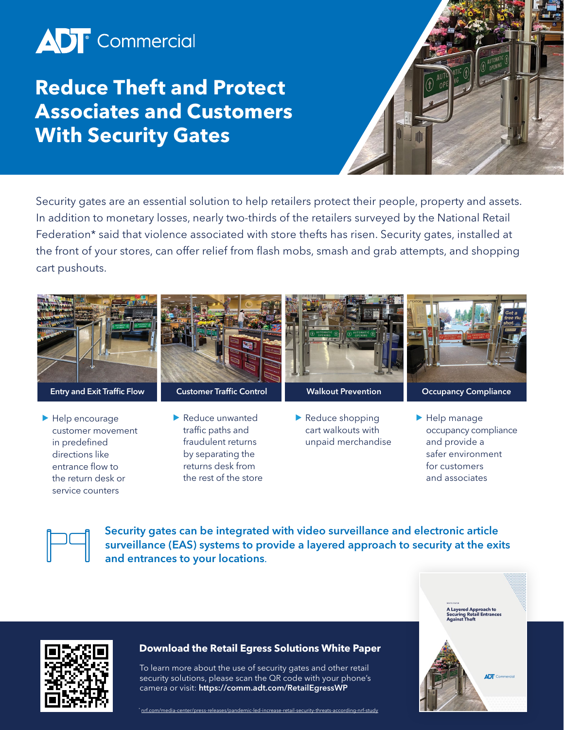# **AD**<sup>c</sup> Commercial

## **Reduce Theft and Protect Associates and Customers With Security Gates**



Security gates are an essential solution to help retailers protect their people, property and assets. In addition to monetary losses, nearly two-thirds of the retailers surveyed by the National Retail Federation\* said that violence associated with store thefts has risen. Security gates, installed at the front of your stores, can offer relief from flash mobs, smash and grab attempts, and shopping cart pushouts.



- in predefined directions like entrance flow to the return desk or service counters
- fraudulent returns by separating the returns desk from

the rest of the store

- unpaid merchandise
- and provide a safer environment for customers and associates



Security gates can be integrated with video surveillance and electronic article surveillance (EAS) systems to provide a layered approach to security at the exits and entrances to your locations.





#### **Download the Retail Egress Solutions White Paper**

To learn more about the use of security gates and other retail security solutions, please scan the QR code with your phone's camera or visit: <https://comm.adt.com/RetailEgressWP>

\* [nrf.com/media-center/press-releases/pandemic-led-increase-retail-security-threats-according-nrf-study](http://nrf.com/media-center/press-releases/pandemic-led-increase-retail-security-threats-according-nrf-study)